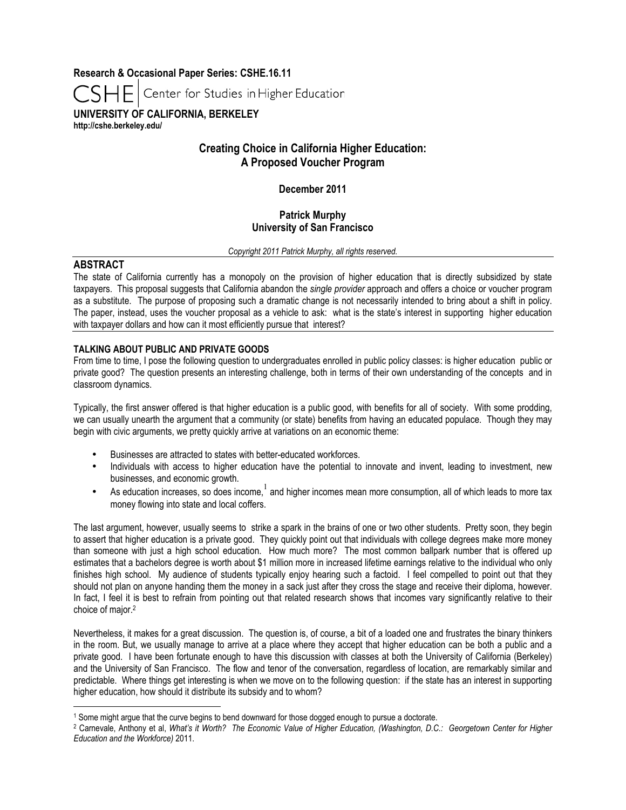**Research & Occasional Paper Series: CSHE.16.11**

Center for Studies in Higher Education

**UNIVERSITY OF CALIFORNIA, BERKELEY http://cshe.berkeley.edu/**

# **Creating Choice in California Higher Education: A Proposed Voucher Program**

**December 2011**

# **Patrick Murphy University of San Francisco**

*Copyright 2011 Patrick Murphy, all rights reserved.*

# **ABSTRACT**

 $\overline{a}$ 

The state of California currently has a monopoly on the provision of higher education that is directly subsidized by state taxpayers. This proposal suggests that California abandon the *single provider* approach and offers a choice or voucher program as a substitute. The purpose of proposing such a dramatic change is not necessarily intended to bring about a shift in policy. The paper, instead, uses the voucher proposal as a vehicle to ask: what is the state's interest in supporting higher education with taxpayer dollars and how can it most efficiently pursue that interest?

## **TALKING ABOUT PUBLIC AND PRIVATE GOODS**

From time to time, I pose the following question to undergraduates enrolled in public policy classes: is higher education public or private good? The question presents an interesting challenge, both in terms of their own understanding of the concepts and in classroom dynamics.

Typically, the first answer offered is that higher education is a public good, with benefits for all of society. With some prodding, we can usually unearth the argument that a community (or state) benefits from having an educated populace. Though they may begin with civic arguments, we pretty quickly arrive at variations on an economic theme:

- Businesses are attracted to states with better-educated workforces.
- Individuals with access to higher education have the potential to innovate and invent, leading to investment, new businesses, and economic growth.
- As education increases, so does income,<sup>1</sup> and higher incomes mean more consumption, all of which leads to more tax money flowing into state and local coffers.

The last argument, however, usually seems to strike a spark in the brains of one or two other students. Pretty soon, they begin to assert that higher education is a private good. They quickly point out that individuals with college degrees make more money than someone with just a high school education. How much more? The most common ballpark number that is offered up estimates that a bachelors degree is worth about \$1 million more in increased lifetime earnings relative to the individual who only finishes high school. My audience of students typically enjoy hearing such a factoid. I feel compelled to point out that they should not plan on anyone handing them the money in a sack just after they cross the stage and receive their diploma, however. In fact, I feel it is best to refrain from pointing out that related research shows that incomes vary significantly relative to their choice of major.2

Nevertheless, it makes for a great discussion. The question is, of course, a bit of a loaded one and frustrates the binary thinkers in the room. But, we usually manage to arrive at a place where they accept that higher education can be both a public and a private good. I have been fortunate enough to have this discussion with classes at both the University of California (Berkeley) and the University of San Francisco. The flow and tenor of the conversation, regardless of location, are remarkably similar and predictable. Where things get interesting is when we move on to the following question: if the state has an interest in supporting higher education, how should it distribute its subsidy and to whom?

<sup>&</sup>lt;sup>1</sup> Some might argue that the curve begins to bend downward for those dogged enough to pursue a doctorate.<br><sup>2</sup> Carnevale, Anthony et al, *What's it Worth? The Economic Value of Higher Education, (Washington, D.C.: Georgeto Education and the Workforce)* 2011.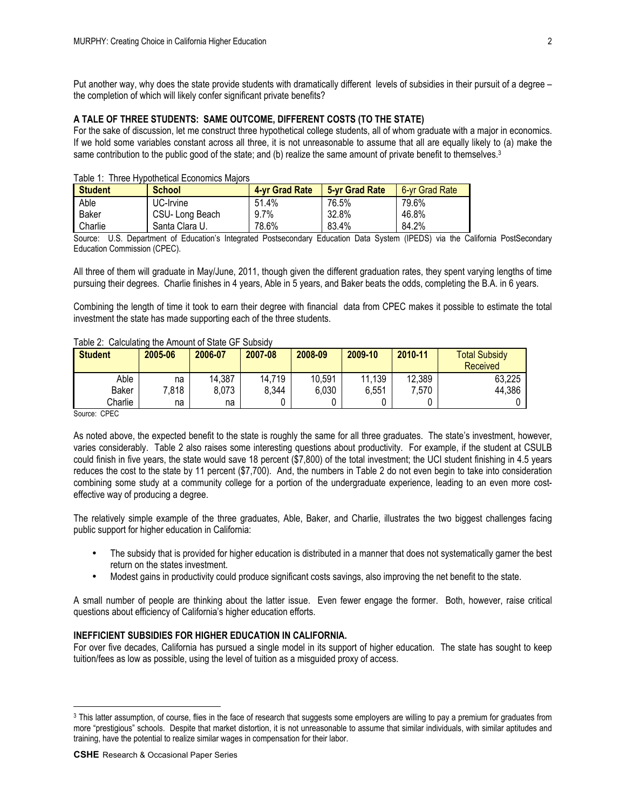Put another way, why does the state provide students with dramatically different levels of subsidies in their pursuit of a degree – the completion of which will likely confer significant private benefits?

#### **A TALE OF THREE STUDENTS: SAME OUTCOME, DIFFERENT COSTS (TO THE STATE)**

For the sake of discussion, let me construct three hypothetical college students, all of whom graduate with a major in economics. If we hold some variables constant across all three, it is not unreasonable to assume that all are equally likely to (a) make the same contribution to the public good of the state; and (b) realize the same amount of private benefit to themselves.<sup>3</sup>

| <b>Student</b> | <b>School</b>  | 4-yr Grad Rate | 5-vr Grad Rate | 6-vr Grad Rate |
|----------------|----------------|----------------|----------------|----------------|
| Able           | UC-Irvine      | 51.4%          | 76.5%          | 79.6%          |
| Baker          | CSU-Long Beach | $9.7\%$        | 32.8%          | 46.8%          |
| Charlie        | Santa Clara U. | 78.6%          | 83.4%          | 84.2%          |

#### Table 1: Three Hypothetical Economics Majors

Source: U.S. Department of Education's Integrated Postsecondary Education Data System (IPEDS) via the California PostSecondary Education Commission (CPEC).

All three of them will graduate in May/June, 2011, though given the different graduation rates, they spent varying lengths of time pursuing their degrees. Charlie finishes in 4 years, Able in 5 years, and Baker beats the odds, completing the B.A. in 6 years.

Combining the length of time it took to earn their degree with financial data from CPEC makes it possible to estimate the total investment the state has made supporting each of the three students.

| <b>Student</b> | 2005-06 | 2006-07 | 2007-08 | 2008-09 | 2009-10 | 2010-11 | <b>Total Subsidy</b><br>Received |
|----------------|---------|---------|---------|---------|---------|---------|----------------------------------|
| Able           | na      | 14,387  | 14.719  | 10,591  | 11,139  | 12,389  | 63,225                           |
| Baker          | 7.818   | 8,073   | 8,344   | 6,030   | 6,551   | 7,570   | 44,386                           |
| Charlie        | na      | na      |         |         |         |         |                                  |

## Table 2: Calculating the Amount of State GF Subsidy

Source: CPEC

 $\overline{a}$ 

As noted above, the expected benefit to the state is roughly the same for all three graduates. The state's investment, however, varies considerably. Table 2 also raises some interesting questions about productivity. For example, if the student at CSULB could finish in five years, the state would save 18 percent (\$7,800) of the total investment; the UCI student finishing in 4.5 years reduces the cost to the state by 11 percent (\$7,700). And, the numbers in Table 2 do not even begin to take into consideration combining some study at a community college for a portion of the undergraduate experience, leading to an even more costeffective way of producing a degree.

The relatively simple example of the three graduates, Able, Baker, and Charlie, illustrates the two biggest challenges facing public support for higher education in California:

- The subsidy that is provided for higher education is distributed in a manner that does not systematically garner the best return on the states investment.
- Modest gains in productivity could produce significant costs savings, also improving the net benefit to the state.

A small number of people are thinking about the latter issue. Even fewer engage the former. Both, however, raise critical questions about efficiency of California's higher education efforts.

### **INEFFICIENT SUBSIDIES FOR HIGHER EDUCATION IN CALIFORNIA.**

For over five decades, California has pursued a single model in its support of higher education. The state has sought to keep tuition/fees as low as possible, using the level of tuition as a misguided proxy of access.

<sup>&</sup>lt;sup>3</sup> This latter assumption, of course, flies in the face of research that suggests some employers are willing to pay a premium for graduates from more "prestigious" schools. Despite that market distortion, it is not unreasonable to assume that similar individuals, with similar aptitudes and training, have the potential to realize similar wages in compensation for their labor.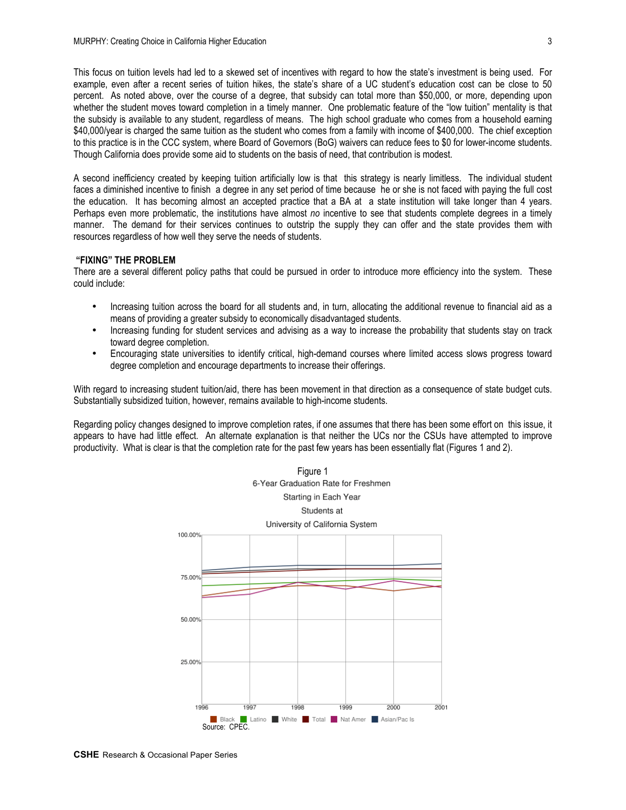This focus on tuition levels had led to a skewed set of incentives with regard to how the state's investment is being used. For example, even after a recent series of tuition hikes, the state's share of a UC student's education cost can be close to 50 percent. As noted above, over the course of a degree, that subsidy can total more than \$50,000, or more, depending upon whether the student moves toward completion in a timely manner. One problematic feature of the "low tuition" mentality is that the subsidy is available to any student, regardless of means. The high school graduate who comes from a household earning \$40,000/year is charged the same tuition as the student who comes from a family with income of \$400,000. The chief exception to this practice is in the CCC system, where Board of Governors (BoG) waivers can reduce fees to \$0 for lower-income students. Though California does provide some aid to students on the basis of need, that contribution is modest.

A second inefficiency created by keeping tuition artificially low is that this strategy is nearly limitless. The individual student faces a diminished incentive to finish a degree in any set period of time because he or she is not faced with paying the full cost the education. It has becoming almost an accepted practice that a BA at a state institution will take longer than 4 years. Perhaps even more problematic, the institutions have almost *no* incentive to see that students complete degrees in a timely manner. The demand for their services continues to outstrip the supply they can offer and the state provides them with resources regardless of how well they serve the needs of students.

#### **"FIXING" THE PROBLEM**

There are a several different policy paths that could be pursued in order to introduce more efficiency into the system. These could include:

- Increasing tuition across the board for all students and, in turn, allocating the additional revenue to financial aid as a means of providing a greater subsidy to economically disadvantaged students.
- Increasing funding for student services and advising as a way to increase the probability that students stay on track toward degree completion.
- Encouraging state universities to identify critical, high-demand courses where limited access slows progress toward degree completion and encourage departments to increase their offerings.

With regard to increasing student tuition/aid, there has been movement in that direction as a consequence of state budget cuts. Substantially subsidized tuition, however, remains available to high-income students.

Regarding policy changes designed to improve completion rates, if one assumes that there has been some effort on this issue, it appears to have had little effect. An alternate explanation is that neither the UCs nor the CSUs have attempted to improve productivity. What is clear is that the completion rate for the past few years has been essentially flat (Figures 1 and 2).

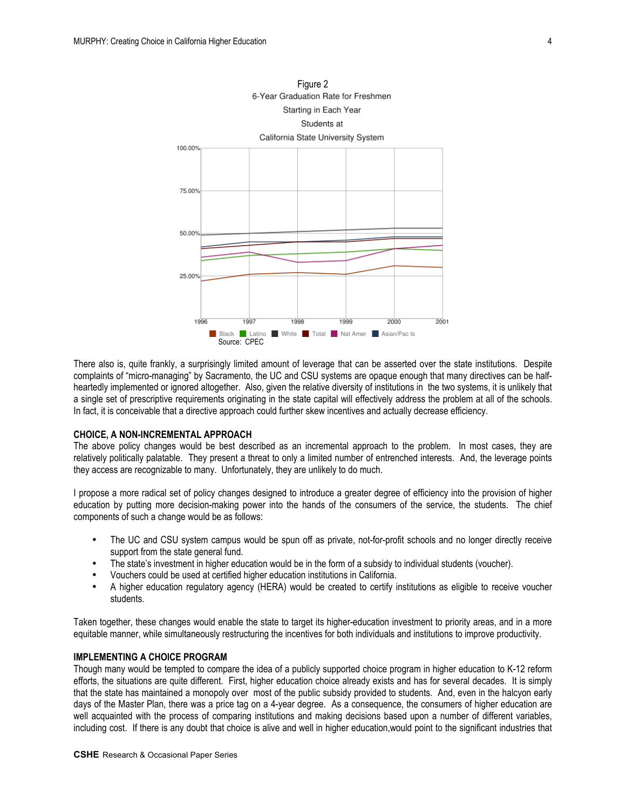

There also is, quite frankly, a surprisingly limited amount of leverage that can be asserted over the state institutions. Despite complaints of "micro-managing" by Sacramento, the UC and CSU systems are opaque enough that many directives can be halfheartedly implemented or ignored altogether. Also, given the relative diversity of institutions in the two systems, it is unlikely that a single set of prescriptive requirements originating in the state capital will effectively address the problem at all of the schools. In fact, it is conceivable that a directive approach could further skew incentives and actually decrease efficiency.

#### **CHOICE, A NON-INCREMENTAL APPROACH**

The above policy changes would be best described as an incremental approach to the problem. In most cases, they are relatively politically palatable. They present a threat to only a limited number of entrenched interests. And, the leverage points they access are recognizable to many. Unfortunately, they are unlikely to do much.

I propose a more radical set of policy changes designed to introduce a greater degree of efficiency into the provision of higher education by putting more decision-making power into the hands of the consumers of the service, the students. The chief components of such a change would be as follows:

- The UC and CSU system campus would be spun off as private, not-for-profit schools and no longer directly receive support from the state general fund.
- The state's investment in higher education would be in the form of a subsidy to individual students (voucher).
- Vouchers could be used at certified higher education institutions in California.
- A higher education regulatory agency (HERA) would be created to certify institutions as eligible to receive voucher students.

Taken together, these changes would enable the state to target its higher-education investment to priority areas, and in a more equitable manner, while simultaneously restructuring the incentives for both individuals and institutions to improve productivity.

### **IMPLEMENTING A CHOICE PROGRAM**

Though many would be tempted to compare the idea of a publicly supported choice program in higher education to K-12 reform efforts, the situations are quite different. First, higher education choice already exists and has for several decades. It is simply that the state has maintained a monopoly over most of the public subsidy provided to students. And, even in the halcyon early days of the Master Plan, there was a price tag on a 4-year degree. As a consequence, the consumers of higher education are well acquainted with the process of comparing institutions and making decisions based upon a number of different variables, including cost. If there is any doubt that choice is alive and well in higher education,would point to the significant industries that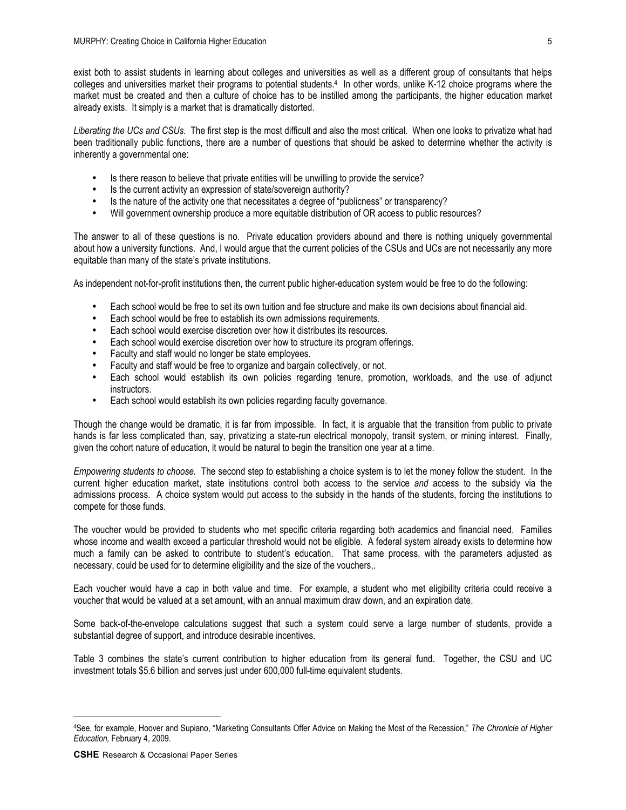exist both to assist students in learning about colleges and universities as well as a different group of consultants that helps colleges and universities market their programs to potential students.4 In other words, unlike K-12 choice programs where the market must be created and then a culture of choice has to be instilled among the participants, the higher education market already exists. It simply is a market that is dramatically distorted.

*Liberating the UCs and CSUs.* The first step is the most difficult and also the most critical. When one looks to privatize what had been traditionally public functions, there are a number of questions that should be asked to determine whether the activity is inherently a governmental one:

- Is there reason to believe that private entities will be unwilling to provide the service?
- Is the current activity an expression of state/sovereign authority?
- Is the nature of the activity one that necessitates a degree of "publicness" or transparency?
- Will government ownership produce a more equitable distribution of OR access to public resources?

The answer to all of these questions is no. Private education providers abound and there is nothing uniquely governmental about how a university functions. And, I would argue that the current policies of the CSUs and UCs are not necessarily any more equitable than many of the state's private institutions.

As independent not-for-profit institutions then, the current public higher-education system would be free to do the following:

- Each school would be free to set its own tuition and fee structure and make its own decisions about financial aid.
- Each school would be free to establish its own admissions requirements.
- Each school would exercise discretion over how it distributes its resources.
- Each school would exercise discretion over how to structure its program offerings.
- Faculty and staff would no longer be state employees.
- Faculty and staff would be free to organize and bargain collectively, or not.
- Each school would establish its own policies regarding tenure, promotion, workloads, and the use of adjunct instructors.
- Each school would establish its own policies regarding faculty governance.

Though the change would be dramatic, it is far from impossible. In fact, it is arguable that the transition from public to private hands is far less complicated than, say, privatizing a state-run electrical monopoly, transit system, or mining interest. Finally, given the cohort nature of education, it would be natural to begin the transition one year at a time.

*Empowering students to choose.* The second step to establishing a choice system is to let the money follow the student. In the current higher education market, state institutions control both access to the service *and* access to the subsidy via the admissions process. A choice system would put access to the subsidy in the hands of the students, forcing the institutions to compete for those funds.

The voucher would be provided to students who met specific criteria regarding both academics and financial need. Families whose income and wealth exceed a particular threshold would not be eligible. A federal system already exists to determine how much a family can be asked to contribute to student's education. That same process, with the parameters adjusted as necessary, could be used for to determine eligibility and the size of the vouchers,.

Each voucher would have a cap in both value and time. For example, a student who met eligibility criteria could receive a voucher that would be valued at a set amount, with an annual maximum draw down, and an expiration date.

Some back-of-the-envelope calculations suggest that such a system could serve a large number of students, provide a substantial degree of support, and introduce desirable incentives.

Table 3 combines the state's current contribution to higher education from its general fund. Together, the CSU and UC investment totals \$5.6 billion and serves just under 600,000 full-time equivalent students.

 $\overline{a}$ 

<sup>4</sup>See, for example, Hoover and Supiano, "Marketing Consultants Offer Advice on Making the Most of the Recession," *The Chronicle of Higher Education,* February 4, 2009.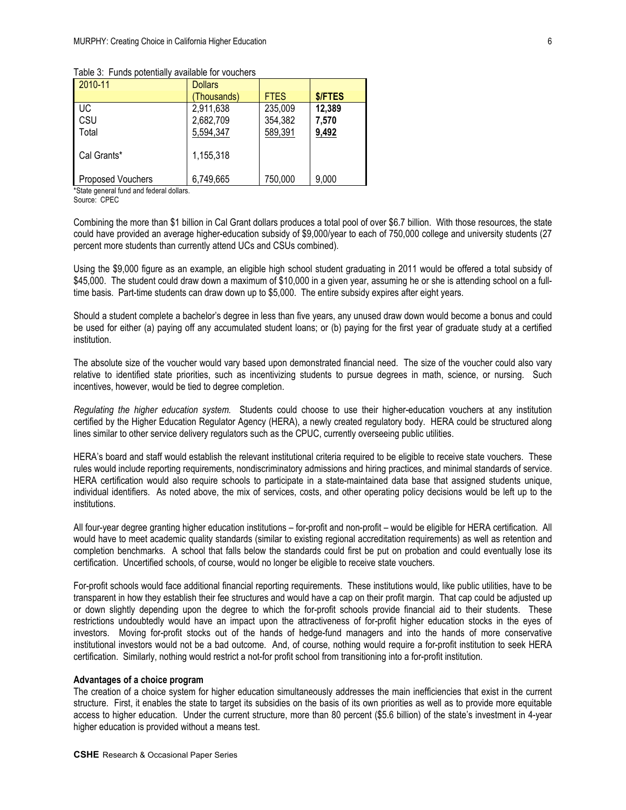|  | Table 3: Funds potentially available for vouchers |  |  |
|--|---------------------------------------------------|--|--|
|--|---------------------------------------------------|--|--|

| 2010-11           | <b>Dollars</b> |             |         |
|-------------------|----------------|-------------|---------|
|                   | (Thousands)    | <b>FTES</b> | \$/FTES |
| UC.               | 2,911,638      | 235,009     | 12,389  |
| CSU               | 2,682,709      | 354,382     | 7,570   |
| Total             | 5,594,347      | 589,391     | 9,492   |
| Cal Grants*       | 1,155,318      |             |         |
| Proposed Vouchers | 6,749,665      | 750,000     | 9,000   |

\*State general fund and federal dollars.

Source: CPEC

Combining the more than \$1 billion in Cal Grant dollars produces a total pool of over \$6.7 billion. With those resources, the state could have provided an average higher-education subsidy of \$9,000/year to each of 750,000 college and university students (27 percent more students than currently attend UCs and CSUs combined).

Using the \$9,000 figure as an example, an eligible high school student graduating in 2011 would be offered a total subsidy of \$45,000. The student could draw down a maximum of \$10,000 in a given year, assuming he or she is attending school on a fulltime basis. Part-time students can draw down up to \$5,000. The entire subsidy expires after eight years.

Should a student complete a bachelor's degree in less than five years, any unused draw down would become a bonus and could be used for either (a) paying off any accumulated student loans; or (b) paying for the first year of graduate study at a certified institution.

The absolute size of the voucher would vary based upon demonstrated financial need. The size of the voucher could also vary relative to identified state priorities, such as incentivizing students to pursue degrees in math, science, or nursing. Such incentives, however, would be tied to degree completion.

*Regulating the higher education system.* Students could choose to use their higher-education vouchers at any institution certified by the Higher Education Regulator Agency (HERA), a newly created regulatory body. HERA could be structured along lines similar to other service delivery regulators such as the CPUC, currently overseeing public utilities.

HERA's board and staff would establish the relevant institutional criteria required to be eligible to receive state vouchers. These rules would include reporting requirements, nondiscriminatory admissions and hiring practices, and minimal standards of service. HERA certification would also require schools to participate in a state-maintained data base that assigned students unique, individual identifiers. As noted above, the mix of services, costs, and other operating policy decisions would be left up to the institutions.

All four-year degree granting higher education institutions – for-profit and non-profit – would be eligible for HERA certification. All would have to meet academic quality standards (similar to existing regional accreditation requirements) as well as retention and completion benchmarks. A school that falls below the standards could first be put on probation and could eventually lose its certification. Uncertified schools, of course, would no longer be eligible to receive state vouchers.

For-profit schools would face additional financial reporting requirements. These institutions would, like public utilities, have to be transparent in how they establish their fee structures and would have a cap on their profit margin. That cap could be adjusted up or down slightly depending upon the degree to which the for-profit schools provide financial aid to their students. These restrictions undoubtedly would have an impact upon the attractiveness of for-profit higher education stocks in the eyes of investors. Moving for-profit stocks out of the hands of hedge-fund managers and into the hands of more conservative institutional investors would not be a bad outcome. And, of course, nothing would require a for-profit institution to seek HERA certification. Similarly, nothing would restrict a not-for profit school from transitioning into a for-profit institution.

#### **Advantages of a choice program**

The creation of a choice system for higher education simultaneously addresses the main inefficiencies that exist in the current structure. First, it enables the state to target its subsidies on the basis of its own priorities as well as to provide more equitable access to higher education. Under the current structure, more than 80 percent (\$5.6 billion) of the state's investment in 4-year higher education is provided without a means test.